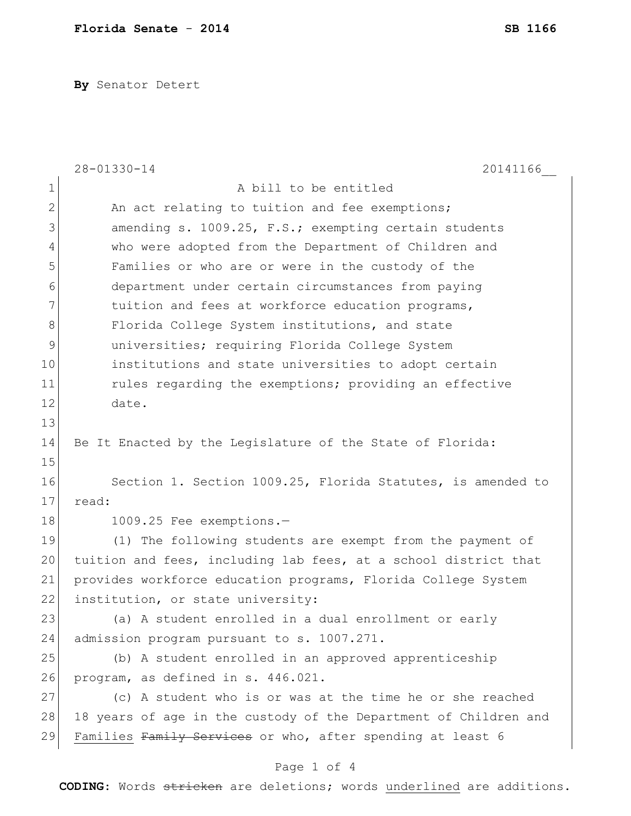**By** Senator Detert

|              | 28-01330-14<br>20141166                                          |
|--------------|------------------------------------------------------------------|
| 1            | A bill to be entitled                                            |
| $\mathbf{2}$ | An act relating to tuition and fee exemptions;                   |
| 3            | amending s. 1009.25, F.S.; exempting certain students            |
| 4            | who were adopted from the Department of Children and             |
| 5            | Families or who are or were in the custody of the                |
| 6            | department under certain circumstances from paying               |
| 7            | tuition and fees at workforce education programs,                |
| 8            | Florida College System institutions, and state                   |
| 9            | universities; requiring Florida College System                   |
| 10           | institutions and state universities to adopt certain             |
| 11           | rules regarding the exemptions; providing an effective           |
| 12           | date.                                                            |
| 13           |                                                                  |
| 14           | Be It Enacted by the Legislature of the State of Florida:        |
| 15           |                                                                  |
| 16           | Section 1. Section 1009.25, Florida Statutes, is amended to      |
| 17           | read:                                                            |
| 18           | 1009.25 Fee exemptions.-                                         |
| 19           | (1) The following students are exempt from the payment of        |
| 20           | tuition and fees, including lab fees, at a school district that  |
| 21           | provides workforce education programs, Florida College System    |
| 22           | institution, or state university:                                |
| 23           | (a) A student enrolled in a dual enrollment or early             |
| 24           | admission program pursuant to s. 1007.271.                       |
| 25           | (b) A student enrolled in an approved apprenticeship             |
| 26           | program, as defined in s. 446.021.                               |
| 27           | (c) A student who is or was at the time he or she reached        |
| 28           | 18 years of age in the custody of the Department of Children and |
| 29           | Families Family Services or who, after spending at least 6       |
|              | Page 1 of 4                                                      |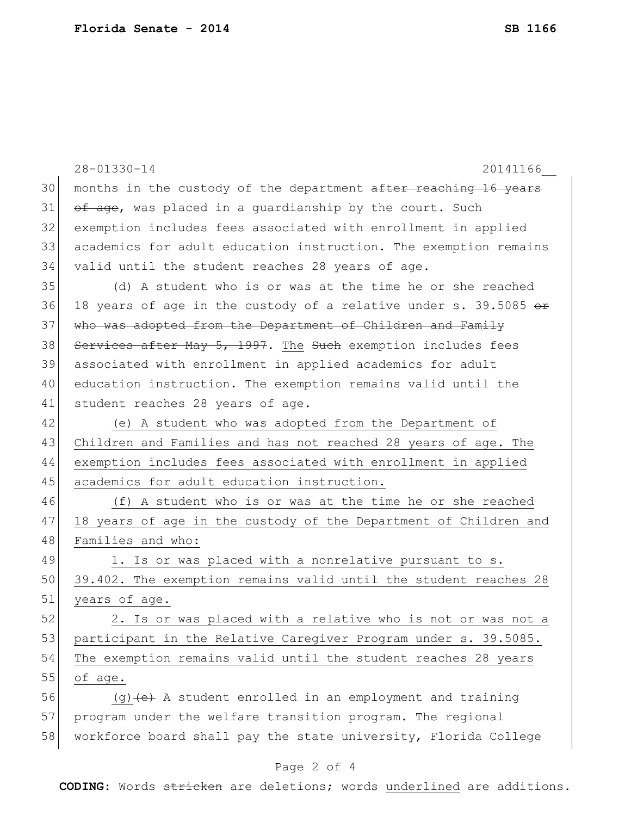|    | $28 - 01330 - 14$<br>20141166                                    |
|----|------------------------------------------------------------------|
| 30 | months in the custody of the department after reaching 16 years  |
| 31 | of age, was placed in a quardianship by the court. Such          |
| 32 | exemption includes fees associated with enrollment in applied    |
| 33 | academics for adult education instruction. The exemption remains |
| 34 | valid until the student reaches 28 years of age.                 |
| 35 | (d) A student who is or was at the time he or she reached        |
| 36 | 18 years of age in the custody of a relative under s. 39.5085 or |
| 37 | who was adopted from the Department of Children and Family       |
| 38 | Services after May 5, 1997. The Such exemption includes fees     |
| 39 | associated with enrollment in applied academics for adult        |
| 40 | education instruction. The exemption remains valid until the     |
| 41 | student reaches 28 years of age.                                 |
| 42 | (e) A student who was adopted from the Department of             |
| 43 | Children and Families and has not reached 28 years of age. The   |
| 44 | exemption includes fees associated with enrollment in applied    |
| 45 | academics for adult education instruction.                       |
| 46 | (f) A student who is or was at the time he or she reached        |
| 47 | 18 years of age in the custody of the Department of Children and |
| 48 | Families and who:                                                |
| 49 | 1. Is or was placed with a nonrelative pursuant to s.            |
| 50 | 39.402. The exemption remains valid until the student reaches 28 |
| 51 | years of age.                                                    |
| 52 | 2. Is or was placed with a relative who is not or was not a      |
| 53 | participant in the Relative Caregiver Program under s. 39.5085.  |
| 54 | The exemption remains valid until the student reaches 28 years   |
| 55 | of age.                                                          |
| 56 | $(g)$ (e) A student enrolled in an employment and training       |
| 57 | program under the welfare transition program. The regional       |
| 58 | workforce board shall pay the state university, Florida College  |

## Page 2 of 4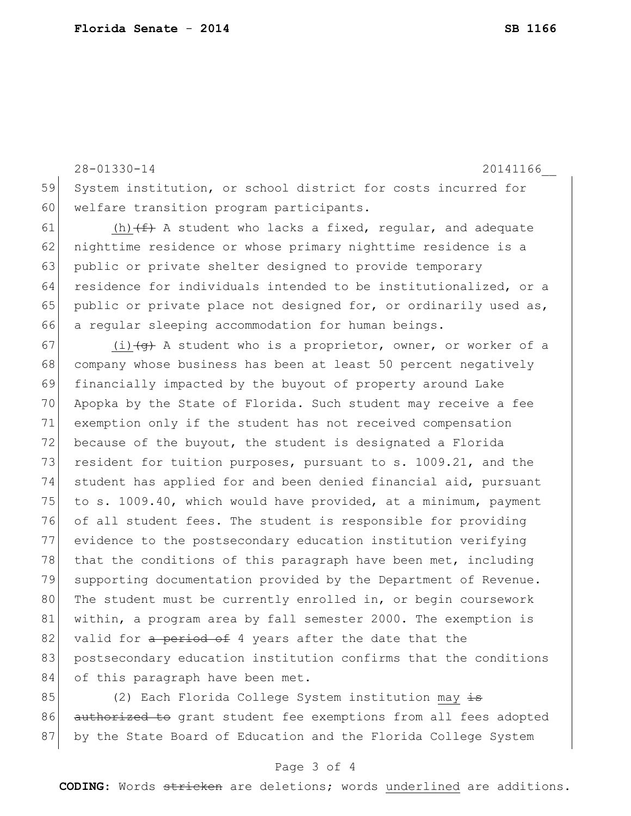28-01330-14 20141166\_\_ 59 System institution, or school district for costs incurred for 60 welfare transition program participants.

61 (h)  $(f)$  A student who lacks a fixed, regular, and adequate 62 nighttime residence or whose primary nighttime residence is a 63 public or private shelter designed to provide temporary 64 residence for individuals intended to be institutionalized, or a 65 public or private place not designed for, or ordinarily used as, 66 a regular sleeping accommodation for human beings.

67 (i) $\left( \Theta \right)$  A student who is a proprietor, owner, or worker of a 68 company whose business has been at least 50 percent negatively 69 financially impacted by the buyout of property around Lake 70 Apopka by the State of Florida. Such student may receive a fee 71 exemption only if the student has not received compensation 72 because of the buyout, the student is designated a Florida 73 resident for tuition purposes, pursuant to s. 1009.21, and the 74 student has applied for and been denied financial aid, pursuant 75 to s. 1009.40, which would have provided, at a minimum, payment 76 of all student fees. The student is responsible for providing 77 evidence to the postsecondary education institution verifying 78 that the conditions of this paragraph have been met, including 79 supporting documentation provided by the Department of Revenue. 80 The student must be currently enrolled in, or begin coursework 81 within, a program area by fall semester 2000. The exemption is 82 valid for a period of 4 years after the date that the 83 postsecondary education institution confirms that the conditions 84 of this paragraph have been met.

85 (2) Each Florida College System institution may  $\frac{1}{15}$ 86 authorized to grant student fee exemptions from all fees adopted 87 by the State Board of Education and the Florida College System

## Page 3 of 4